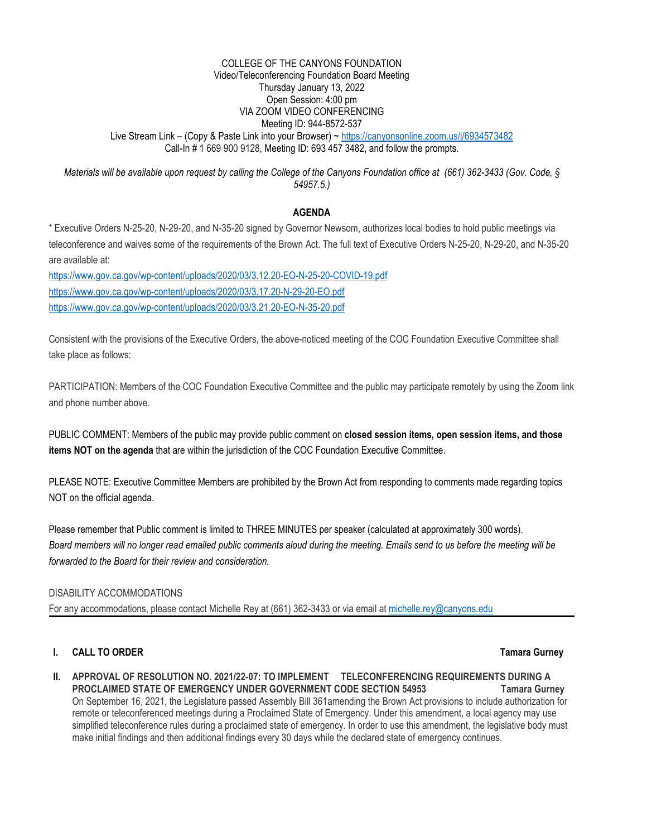#### COLLEGE OF THE CANYONS FOUNDATION Video/Teleconferencing Foundation Board Meeting Thursday January 13, 2022 Open Session: 4:00 pm VIA ZOOM VIDEO CONFERENCING Meeting ID: 944-8572-537 Live Stream Link – (Copy & Paste Link into your Browser) ~<https://canyonsonline.zoom.us/j/6934573482> Call-In # 1 669 900 9128, Meeting ID: 693 457 3482, and follow the prompts.

*Materials will be available upon request by calling the College of the Canyons Foundation office at (661) 362-3433 (Gov. Code, § 54957.5.)*

## **AGENDA**

\* Executive Orders N-25-20, N-29-20, and N-35-20 signed by Governor Newsom, authorizes local bodies to hold public meetings via teleconference and waives some of the requirements of the Brown Act. The full text of Executive Orders N-25-20, N-29-20, and N-35-20 are available at:

<https://www.gov.ca.gov/wp-content/uploads/2020/03/3.12.20-EO-N-25-20-COVID-19.pdf> <https://www.gov.ca.gov/wp-content/uploads/2020/03/3.17.20-N-29-20-EO.pdf> <https://www.gov.ca.gov/wp-content/uploads/2020/03/3.21.20-EO-N-35-20.pdf>

Consistent with the provisions of the Executive Orders, the above-noticed meeting of the COC Foundation Executive Committee shall take place as follows:

PARTICIPATION: Members of the COC Foundation Executive Committee and the public may participate remotely by using the Zoom link and phone number above.

PUBLIC COMMENT: Members of the public may provide public comment on **closed session items, open session items, and those items NOT on the agenda** that are within the jurisdiction of the COC Foundation Executive Committee.

PLEASE NOTE: Executive Committee Members are prohibited by the Brown Act from responding to comments made regarding topics NOT on the official agenda.

Please remember that Public comment is limited to THREE MINUTES per speaker (calculated at approximately 300 words). *Board members will no longer read emailed public comments aloud during the meeting. Emails send to us before the meeting will be forwarded to the Board for their review and consideration.*

## DISABILITY ACCOMMODATIONS

For any accommodations, please contact Michelle Rey at (661) 362-3433 or via email at [michelle.rey@canyons.edu](mailto:michelle.rey@canyons.edu)

# **I. CALL TO ORDER Tamara Gurney**

**II. APPROVAL OF RESOLUTION NO. 2021/22-07: TO IMPLEMENT TELECONFERENCING REQUIREMENTS DURING A PROCLAIMED STATE OF EMERGENCY UNDER GOVERNMENT CODE SECTION 54953 Tamara Gurney** On September 16, 2021, the Legislature passed Assembly Bill 361amending the Brown Act provisions to include authorization for remote or teleconferenced meetings during a Proclaimed State of Emergency. Under this amendment, a local agency may use simplified teleconference rules during a proclaimed state of emergency. In order to use this amendment, the legislative body must make initial findings and then additional findings every 30 days while the declared state of emergency continues.